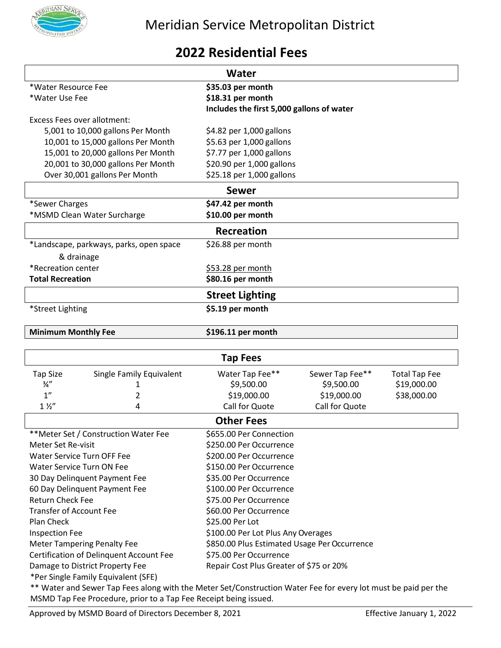

## **2022 Residential Fees**

| Water                                   |                                    |                                           |                 |                      |  |
|-----------------------------------------|------------------------------------|-------------------------------------------|-----------------|----------------------|--|
| *Water Resource Fee                     |                                    | \$35.03 per month                         |                 |                      |  |
| *Water Use Fee                          |                                    | \$18.31 per month                         |                 |                      |  |
|                                         |                                    | Includes the first 5,000 gallons of water |                 |                      |  |
| <b>Excess Fees over allotment:</b>      |                                    |                                           |                 |                      |  |
|                                         | 5,001 to 10,000 gallons Per Month  | \$4.82 per 1,000 gallons                  |                 |                      |  |
|                                         | 10,001 to 15,000 gallons Per Month | \$5.63 per 1,000 gallons                  |                 |                      |  |
|                                         | 15,001 to 20,000 gallons Per Month | \$7.77 per 1,000 gallons                  |                 |                      |  |
|                                         | 20,001 to 30,000 gallons Per Month | \$20.90 per 1,000 gallons                 |                 |                      |  |
|                                         | Over 30,001 gallons Per Month      | \$25.18 per 1,000 gallons                 |                 |                      |  |
|                                         |                                    | <b>Sewer</b>                              |                 |                      |  |
| *Sewer Charges                          |                                    | \$47.42 per month                         |                 |                      |  |
|                                         | *MSMD Clean Water Surcharge        | \$10.00 per month                         |                 |                      |  |
|                                         |                                    | <b>Recreation</b>                         |                 |                      |  |
| *Landscape, parkways, parks, open space |                                    | \$26.88 per month                         |                 |                      |  |
| & drainage                              |                                    |                                           |                 |                      |  |
| *Recreation center                      |                                    | \$53.28 per month                         |                 |                      |  |
| <b>Total Recreation</b>                 |                                    | \$80.16 per month                         |                 |                      |  |
| <b>Street Lighting</b>                  |                                    |                                           |                 |                      |  |
| *Street Lighting                        |                                    | \$5.19 per month                          |                 |                      |  |
|                                         |                                    |                                           |                 |                      |  |
| <b>Minimum Monthly Fee</b>              |                                    | \$196.11 per month                        |                 |                      |  |
|                                         |                                    |                                           |                 |                      |  |
|                                         |                                    | <b>Tap Fees</b>                           |                 |                      |  |
| <b>Tap Size</b>                         | Single Family Equivalent           | Water Tap Fee**                           | Sewer Tap Fee** | <b>Total Tap Fee</b> |  |
| $\frac{3}{4}$ "                         | 1                                  | \$9,500.00                                | \$9,500.00      | \$19,000.00          |  |
| 1 <sup>''</sup>                         | 2                                  | \$19,000.00                               | \$19,000.00     | \$38,000.00          |  |
| $1\frac{1}{2}$                          | 4                                  | Call for Quote                            | Call for Quote  |                      |  |
|                                         |                                    | <b>Other Fees</b>                         |                 |                      |  |
| **Meter Set / Construction Water Fee    |                                    | \$655.00 Per Connection                   |                 |                      |  |
| Meter Set Re-visit                      |                                    | \$250.00 Per Occurrence                   |                 |                      |  |
| Water Service Turn OFF Fee              |                                    | \$200.00 Per Occurrence                   |                 |                      |  |
| Water Service Turn ON Fee               |                                    | \$150.00 Per Occurrence                   |                 |                      |  |
| 30 Day Delinquent Payment Fee           |                                    | \$35.00 Per Occurrence                    |                 |                      |  |
| 60 Day Delinquent Payment Fee           |                                    | \$100.00 Per Occurrence                   |                 |                      |  |
| <b>Return Check Fee</b>                 |                                    | \$75.00 Per Occurrence                    |                 |                      |  |
| <b>Transfer of Account Fee</b>          |                                    | \$60.00 Per Occurrence                    |                 |                      |  |
| Plan Check                              |                                    | \$25.00 Per Lot                           |                 |                      |  |
| <b>Inspection Fee</b>                   |                                    | \$100.00 Per Lot Plus Any Overages        |                 |                      |  |

Meter Tampering Penalty Fee \$850.00 Plus Estimated Usage Per Occurrence

Certification of Delinquent Account Fee \$75.00 Per Occurrence Damage to District Property Fee Repair Cost Plus Greater of \$75 or 20%

\*Per Single Family Equivalent (SFE)

\*\* Water and Sewer Tap Fees along with the Meter Set/Construction Water Fee for every lot must be paid per the MSMD Tap Fee Procedure, prior to a Tap Fee Receipt being issued.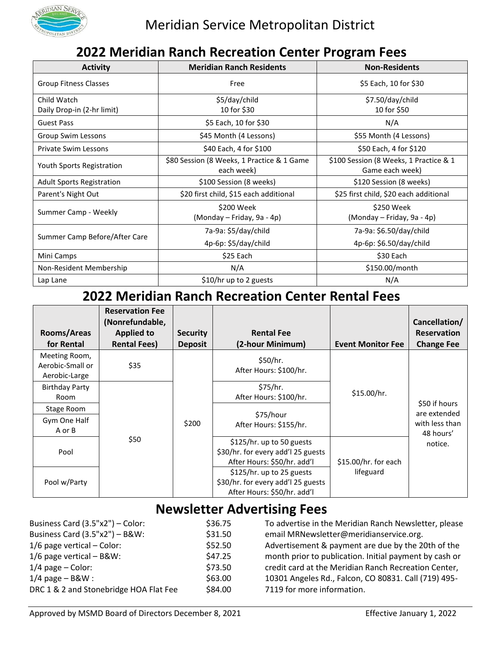

## **2022 Meridian Ranch Recreation Center Program Fees**

| <b>Activity</b>                           | <b>Meridian Ranch Residents</b>                          | <b>Non-Residents</b>                                      |
|-------------------------------------------|----------------------------------------------------------|-----------------------------------------------------------|
| Group Fitness Classes                     | Free                                                     | \$5 Each, 10 for \$30                                     |
| Child Watch<br>Daily Drop-in (2-hr limit) | \$5/day/child<br>10 for \$30                             | \$7.50/day/child<br>10 for \$50                           |
| <b>Guest Pass</b>                         | \$5 Each, 10 for \$30                                    | N/A                                                       |
| Group Swim Lessons                        | \$45 Month (4 Lessons)                                   | \$55 Month (4 Lessons)                                    |
| <b>Private Swim Lessons</b>               | \$40 Each, 4 for \$100                                   | \$50 Each, 4 for \$120                                    |
| Youth Sports Registration                 | \$80 Session (8 Weeks, 1 Practice & 1 Game<br>each week) | \$100 Session (8 Weeks, 1 Practice & 1<br>Game each week) |
| <b>Adult Sports Registration</b>          | \$100 Session (8 weeks)                                  | \$120 Session (8 weeks)                                   |
| Parent's Night Out                        | \$20 first child, \$15 each additional                   | \$25 first child, \$20 each additional                    |
| Summer Camp - Weekly                      | \$200 Week<br>(Monday - Friday, 9a - 4p)                 | \$250 Week<br>(Monday – Friday, 9a - 4p)                  |
|                                           | 7a-9a: \$5/day/child                                     | 7a-9a: \$6.50/day/child                                   |
| Summer Camp Before/After Care             | 4p-6p: \$5/day/child                                     | 4p-6p: \$6.50/day/child                                   |
| Mini Camps                                | \$25 Each                                                | \$30 Each                                                 |
| Non-Resident Membership                   | N/A                                                      | \$150.00/month                                            |
| Lap Lane                                  | \$10/hr up to 2 guests                                   | N/A                                                       |

# **2022 Meridian Ranch Recreation Center Rental Fees**

| Rooms/Areas<br>for Rental                          | <b>Reservation Fee</b><br>(Nonrefundable,<br><b>Applied to</b><br><b>Rental Fees)</b> | <b>Security</b><br><b>Deposit</b> | <b>Rental Fee</b><br>(2-hour Minimum) | <b>Event Monitor Fee</b> | Cancellation/<br><b>Reservation</b><br><b>Change Fee</b> |
|----------------------------------------------------|---------------------------------------------------------------------------------------|-----------------------------------|---------------------------------------|--------------------------|----------------------------------------------------------|
| Meeting Room,<br>Aerobic-Small or<br>Aerobic-Large | \$35                                                                                  |                                   | \$50/hr.<br>After Hours: \$100/hr.    |                          |                                                          |
| <b>Birthday Party</b><br>Room                      |                                                                                       |                                   | \$75/hr.<br>After Hours: \$100/hr.    | \$15.00/hr.              |                                                          |
| Stage Room                                         |                                                                                       |                                   |                                       |                          | \$50 if hours<br>are extended                            |
| Gym One Half                                       |                                                                                       | \$200                             | \$75/hour<br>After Hours: \$155/hr.   |                          | with less than                                           |
| A or B                                             |                                                                                       |                                   |                                       |                          | 48 hours'                                                |
| Pool                                               | \$50                                                                                  | \$125/hr. up to 50 guests         |                                       | notice.                  |                                                          |
|                                                    |                                                                                       |                                   | \$30/hr. for every add'l 25 guests    |                          |                                                          |
|                                                    |                                                                                       |                                   | After Hours: \$50/hr. add'l           | \$15.00/hr. for each     |                                                          |
|                                                    |                                                                                       |                                   | \$125/hr. up to 25 guests             | lifeguard                |                                                          |
| Pool w/Party                                       |                                                                                       |                                   | \$30/hr. for every add'l 25 guests    |                          |                                                          |
|                                                    |                                                                                       |                                   | After Hours: \$50/hr. add'l           |                          |                                                          |

# **Newsletter Advertising Fees**

| Business Card (3.5"x2") - Color:       | \$36.75 | To advertise in the Meridian Ranch Newsletter, please  |
|----------------------------------------|---------|--------------------------------------------------------|
| Business Card $(3.5"x2") - B&W$ :      | \$31.50 | email MRNewsletter@meridianservice.org.                |
| $1/6$ page vertical – Color:           | \$52.50 | Advertisement & payment are due by the 20th of the     |
| $1/6$ page vertical - B&W:             | \$47.25 | month prior to publication. Initial payment by cash or |
| $1/4$ page – Color:                    | \$73.50 | credit card at the Meridian Ranch Recreation Center,   |
| $1/4$ page - B&W :                     | \$63.00 | 10301 Angeles Rd., Falcon, CO 80831. Call (719) 495-   |
| DRC 1 & 2 and Stonebridge HOA Flat Fee | \$84.00 | 7119 for more information.                             |
|                                        |         |                                                        |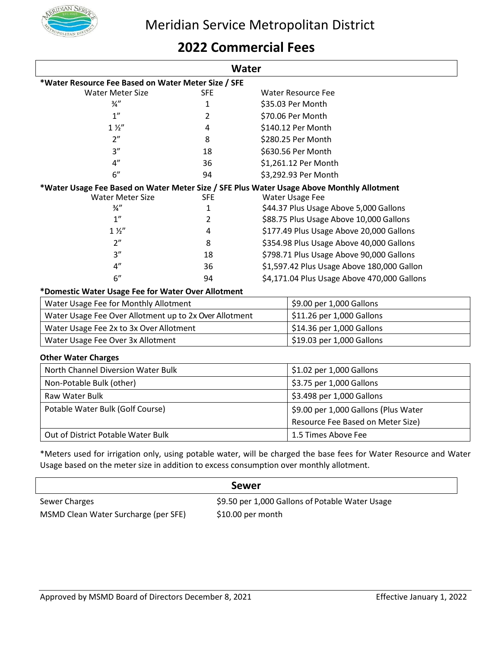

## **2022 Commercial Fees**

| Water                                                                                     |            |                          |                                             |
|-------------------------------------------------------------------------------------------|------------|--------------------------|---------------------------------------------|
| *Water Resource Fee Based on Water Meter Size / SFE                                       |            |                          |                                             |
| <b>Water Meter Size</b>                                                                   | <b>SFE</b> |                          | <b>Water Resource Fee</b>                   |
| $\frac{3}{4}$ "                                                                           | 1          |                          | \$35.03 Per Month                           |
| 1 <sup>''</sup>                                                                           | 2          |                          | \$70.06 Per Month                           |
| $1\frac{1}{2}$                                                                            | 4          |                          | \$140.12 Per Month                          |
| 2 <sup>n</sup>                                                                            | 8          |                          | \$280.25 Per Month                          |
| 3''                                                                                       | 18         |                          | \$630.56 Per Month                          |
| 4"                                                                                        | 36         |                          | \$1,261.12 Per Month                        |
| 6"                                                                                        | 94         |                          | \$3,292.93 Per Month                        |
| *Water Usage Fee Based on Water Meter Size / SFE Plus Water Usage Above Monthly Allotment |            |                          |                                             |
| <b>Water Meter Size</b><br><b>SFE</b>                                                     |            |                          | <b>Water Usage Fee</b>                      |
| $\frac{3}{4}$ "                                                                           | 1          |                          | \$44.37 Plus Usage Above 5,000 Gallons      |
| 1 <sup>''</sup>                                                                           | 2          |                          | \$88.75 Plus Usage Above 10,000 Gallons     |
| $1\frac{1}{2}$                                                                            | 4          |                          | \$177.49 Plus Usage Above 20,000 Gallons    |
| 2 <sup>n</sup>                                                                            | 8          |                          | \$354.98 Plus Usage Above 40,000 Gallons    |
| 3''                                                                                       | 18         |                          | \$798.71 Plus Usage Above 90,000 Gallons    |
| 4"                                                                                        | 36         |                          | \$1,597.42 Plus Usage Above 180,000 Gallon  |
| 6"                                                                                        | 94         |                          | \$4,171.04 Plus Usage Above 470,000 Gallons |
| *Domestic Water Usage Fee for Water Over Allotment                                        |            |                          |                                             |
| Water Usage Fee for Monthly Allotment                                                     |            |                          | \$9.00 per 1,000 Gallons                    |
| Water Usage Fee Over Allotment up to 2x Over Allotment                                    |            |                          | \$11.26 per 1,000 Gallons                   |
| Water Usage Fee 2x to 3x Over Allotment                                                   |            |                          | \$14.36 per 1,000 Gallons                   |
| Water Usage Fee Over 3x Allotment                                                         |            |                          | \$19.03 per 1,000 Gallons                   |
| <b>Other Water Charges</b>                                                                |            |                          |                                             |
| North Channel Diversion Water Bulk                                                        |            | \$1.02 per 1,000 Gallons |                                             |
| Non-Potable Bulk (other)                                                                  |            | \$3.75 per 1,000 Gallons |                                             |

| Non-Potable Bulk (other)           | $\frac{1}{2}$ \$3.75 per 1,000 Gallons  |
|------------------------------------|-----------------------------------------|
| Raw Water Bulk                     | $\frac{1}{2}$ \$3.498 per 1,000 Gallons |
| Potable Water Bulk (Golf Course)   | \$9.00 per 1,000 Gallons (Plus Water    |
|                                    | Resource Fee Based on Meter Size)       |
| Out of District Potable Water Bulk | 1.5 Times Above Fee                     |

\*Meters used for irrigation only, using potable water, will be charged the base fees for Water Resource and Water Usage based on the meter size in addition to excess consumption over monthly allotment.

|                                      | Sewer                                           |
|--------------------------------------|-------------------------------------------------|
| Sewer Charges                        | \$9.50 per 1,000 Gallons of Potable Water Usage |
| MSMD Clean Water Surcharge (per SFE) | $$10.00$ per month                              |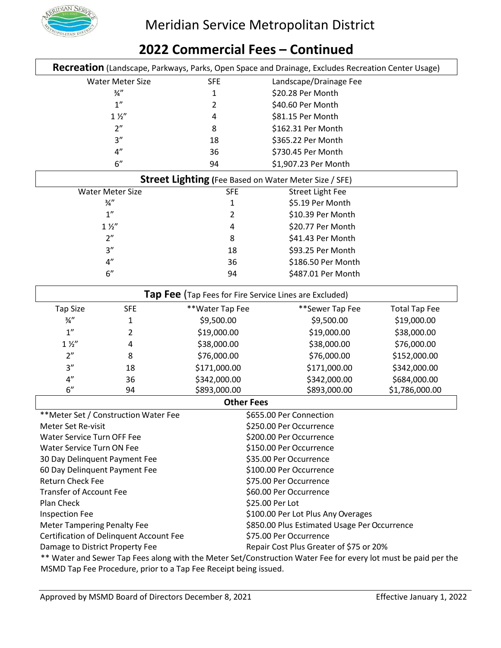

#### **Recreation** (Landscape, Parkways, Parks, Open Space and Drainage, Excludes Recreation Center Usage) Water Meter Size SFE Landscape/Drainage Fee  $\frac{3}{4}$ " 1  $\frac{520.28}{8}$  Per Month 1" 2 \$40.60 Per Month 1 1/2" 4 \$81.15 Per Month 2" 8 \$162.31 Per Month 3" 18 \$365.22 Per Month 4" 36 \$730.45 Per Month 6" 94 \$1,907.23 Per Month **Street Lighting (**Fee Based on Water Meter Size / SFE) Water Meter Size Street Light Fee  $\frac{3}{4}$ " 1  $\frac{55.19}{8}$  Per Month 1" 2 \$10.39 Per Month  $1\frac{1}{2}$ "  $4$   $520.77$  Per Month 2" 8 \$41.43 Per Month 3" 18 \$93.25 Per Month 4" 36 \$186.50 Per Month 6" 94 \$487.01 Per Month **Tap Fee** (Tap Fees for Fire Service Lines are Excluded) Tap Size SFE \*\*Water Tap Fee \*\*Sewer Tap Fee Total Tap Fee  $\frac{3}{4}$ " 1 \$9,500.00 \$9,500.00 \$9,500.00 \$19,000.00 1" 2 \$19,000.00 \$19,000.00 \$19,000.00 \$38,000.00 1 ½" 4 \$38,000.00 \$38,000.00 \$76,000.00 2" 8 \$76,000.00 \$76,000.00 \$152,000.00 3" 18 \$171,000.00 \$171,000.00 \$342,000.00 4" 36 \$342,000.00 \$342,000.00 \$684,000.00 6" 94 \$893,000.00 \$893,000.00 \$1,786,000.00 **Other Fees** \*\*Meter Set / Construction Water Fee \$655.00 Per Connection Meter Set Re-visit  $\sim$  8250.00 Per Occurrence Water Service Turn OFF Fee \$200.00 Per Occurrence Water Service Turn ON Fee \$150.00 Per Occurrence 30 Day Delinquent Payment Fee \$35.00 Per Occurrence 60 Day Delinquent Payment Fee \$100.00 Per Occurrence Return Check Fee **\$75.00 Per Occurrence** Transfer of Account Fee  $$60.00$  Per Occurrence Plan Check \$25.00 Per Lot Inspection Fee **100.00 Per Lot Plus Any Overages** S100.00 Per Lot Plus Any Overages Meter Tampering Penalty Fee **\$850.00 Plus Estimated Usage Per Occurrence** Certification of Delinquent Account Fee \$75.00 Per Occurrence Damage to District Property Fee **Repair Cost Plus Greater of \$75 or 20%**

**2022 Commercial Fees – Continued**

\*\* Water and Sewer Tap Fees along with the Meter Set/Construction Water Fee for every lot must be paid per the MSMD Tap Fee Procedure, prior to a Tap Fee Receipt being issued.